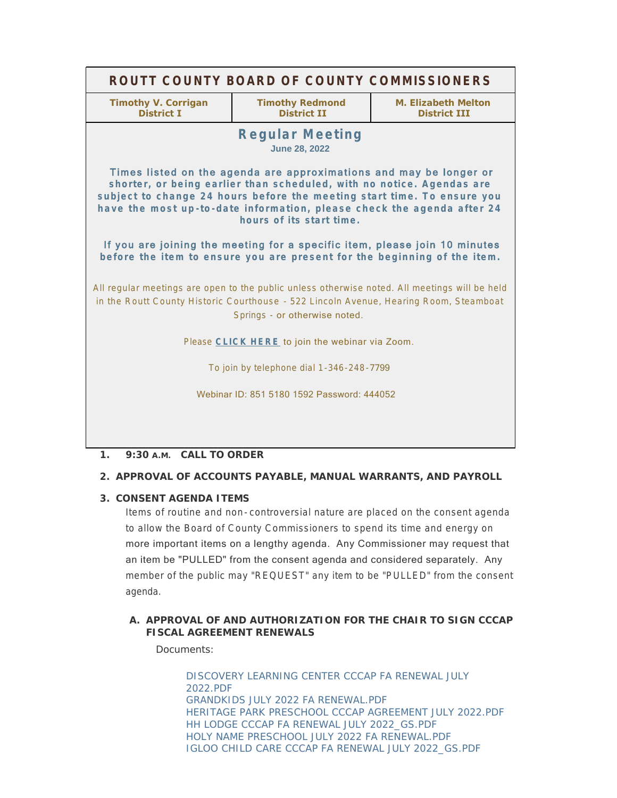| ROUTT COUNTY BOARD OF COUNTY COMMISSIONERS                                                                                                                                                                                                                                                                                   |                                              |                                            |
|------------------------------------------------------------------------------------------------------------------------------------------------------------------------------------------------------------------------------------------------------------------------------------------------------------------------------|----------------------------------------------|--------------------------------------------|
| <b>Timothy V. Corrigan</b><br><b>District I</b>                                                                                                                                                                                                                                                                              | <b>Timothy Redmond</b><br><b>District II</b> | M. Elizabeth Melton<br><b>District III</b> |
| <b>Regular Meeting</b><br><b>June 28, 2022</b>                                                                                                                                                                                                                                                                               |                                              |                                            |
| Times listed on the agenda are approximations and may be longer or<br>shorter, or being earlier than scheduled, with no notice. Agendas are<br>subject to change 24 hours before the meeting start time. To ensure you<br>have the most up-to-date information, please check the agenda after 24<br>hours of its start time. |                                              |                                            |
| If you are joining the meeting for a specific item, please join 10 minutes<br>before the item to ensure you are present for the beginning of the item.                                                                                                                                                                       |                                              |                                            |
| All regular meetings are open to the public unless otherwise noted. All meetings will be held<br>in the Routt County Historic Courthouse - 522 Lincoln Avenue, Hearing Room, Steamboat<br>Springs - or otherwise noted.                                                                                                      |                                              |                                            |
| Please CLICK HERE to join the webinar via Zoom.                                                                                                                                                                                                                                                                              |                                              |                                            |
| To join by telephone dial 1-346-248-7799                                                                                                                                                                                                                                                                                     |                                              |                                            |
| Webinar ID: 851 5180 1592 Password: 444052                                                                                                                                                                                                                                                                                   |                                              |                                            |
|                                                                                                                                                                                                                                                                                                                              |                                              |                                            |

# **CALL TO ORDER 1. 9:30 A.M.**

## **APPROVAL OF ACCOUNTS PAYABLE, MANUAL WARRANTS, AND PAYROLL 2.**

## **CONSENT AGENDA ITEMS 3.**

Items of routine and non- controversial nature are placed on the consent agenda to allow the Board of County Commissioners to spend its time and energy on more important items on a lengthy agenda. Any Commissioner may request that an item be "PULLED" from the consent agenda and considered separately. Any member of the public may "REQUEST" any item to be "PULLED" from the consent agenda.

## A. APPROVAL OF AND AUTHORIZATION FOR THE CHAIR TO SIGN CCCAP **FISCAL AGREEMENT RENEWALS**

Documents:

[DISCOVERY LEARNING CENTER CCCAP FA RENEWAL JULY](http://www.co.routt.co.us/AgendaCenter/ViewFile/Item/18755?fileID=16782)  2022.PDF [GRANDKIDS JULY 2022 FA RENEWAL.PDF](http://www.co.routt.co.us/AgendaCenter/ViewFile/Item/18755?fileID=16783) [HERITAGE PARK PRESCHOOL CCCAP AGREEMENT JULY 2022.PDF](http://www.co.routt.co.us/AgendaCenter/ViewFile/Item/18755?fileID=16784) [HH LODGE CCCAP FA RENEWAL JULY 2022\\_GS.PDF](http://www.co.routt.co.us/AgendaCenter/ViewFile/Item/18755?fileID=16785) [HOLY NAME PRESCHOOL JULY 2022 FA RENEWAL.PDF](http://www.co.routt.co.us/AgendaCenter/ViewFile/Item/18755?fileID=16786) [IGLOO CHILD CARE CCCAP FA RENEWAL JULY 2022\\_GS.PDF](http://www.co.routt.co.us/AgendaCenter/ViewFile/Item/18755?fileID=16787)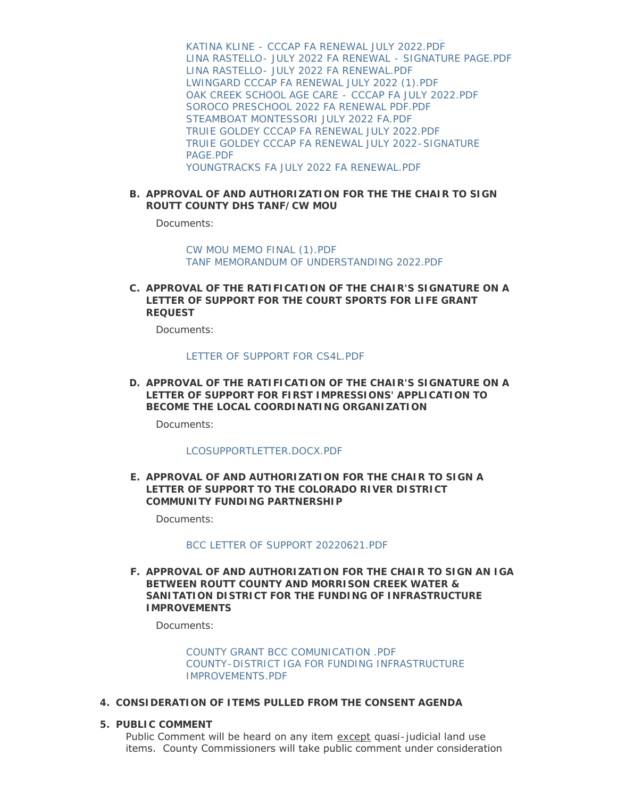[KATINA KLINE - CCCAP FA RENEWAL JULY 2022.PDF](http://www.co.routt.co.us/AgendaCenter/ViewFile/Item/18755?fileID=16788) [LINA RASTELLO- JULY 2022 FA RENEWAL - SIGNATURE PAGE.PDF](http://www.co.routt.co.us/AgendaCenter/ViewFile/Item/18755?fileID=16789) [LINA RASTELLO- JULY 2022 FA RENEWAL.PDF](http://www.co.routt.co.us/AgendaCenter/ViewFile/Item/18755?fileID=16790) [LWINGARD CCCAP FA RENEWAL JULY 2022 \(1\).PDF](http://www.co.routt.co.us/AgendaCenter/ViewFile/Item/18755?fileID=16791) [OAK CREEK SCHOOL AGE CARE - CCCAP FA JULY 2022.PDF](http://www.co.routt.co.us/AgendaCenter/ViewFile/Item/18755?fileID=16792) [SOROCO PRESCHOOL 2022 FA RENEWAL PDF.PDF](http://www.co.routt.co.us/AgendaCenter/ViewFile/Item/18755?fileID=16793) [STEAMBOAT MONTESSORI JULY 2022 FA.PDF](http://www.co.routt.co.us/AgendaCenter/ViewFile/Item/18755?fileID=16794) [TRUIE GOLDEY CCCAP FA RENEWAL JULY 2022.PDF](http://www.co.routt.co.us/AgendaCenter/ViewFile/Item/18755?fileID=16795) [TRUIE GOLDEY CCCAP FA RENEWAL JULY 2022-SIGNATURE](http://www.co.routt.co.us/AgendaCenter/ViewFile/Item/18755?fileID=16796)  PAGE.PDF [YOUNGTRACKS FA JULY 2022 FA RENEWAL.PDF](http://www.co.routt.co.us/AgendaCenter/ViewFile/Item/18755?fileID=16797)

## **APPROVAL OF AND AUTHORIZATION FOR THE THE CHAIR TO SIGN B. ROUTT COUNTY DHS TANF/CW MOU**

Documents:

[CW MOU MEMO FINAL \(1\).PDF](http://www.co.routt.co.us/AgendaCenter/ViewFile/Item/18734?fileID=16771) [TANF MEMORANDUM OF UNDERSTANDING 2022.PDF](http://www.co.routt.co.us/AgendaCenter/ViewFile/Item/18734?fileID=16772)

**APPROVAL OF THE RATIFICATION OF THE CHAIR'S SIGNATURE ON A C. LETTER OF SUPPORT FOR THE COURT SPORTS FOR LIFE GRANT REQUEST**

Documents:

### [LETTER OF SUPPORT FOR CS4L.PDF](http://www.co.routt.co.us/AgendaCenter/ViewFile/Item/18753?fileID=16778)

**APPROVAL OF THE RATIFICATION OF THE CHAIR'S SIGNATURE ON A D. LETTER OF SUPPORT FOR FIRST IMPRESSIONS' APPLICATION TO BECOME THE LOCAL COORDINATING ORGANIZATION**

Documents:

#### [LCOSUPPORTLETTER.DOCX.PDF](http://www.co.routt.co.us/AgendaCenter/ViewFile/Item/18756?fileID=16798)

**APPROVAL OF AND AUTHORIZATION FOR THE CHAIR TO SIGN A E. LETTER OF SUPPORT TO THE COLORADO RIVER DISTRICT COMMUNITY FUNDING PARTNERSHIP**

Documents:

#### [BCC LETTER OF SUPPORT 20220621.PDF](http://www.co.routt.co.us/AgendaCenter/ViewFile/Item/18774?fileID=16819)

**APPROVAL OF AND AUTHORIZATION FOR THE CHAIR TO SIGN AN IGA F. BETWEEN ROUTT COUNTY AND MORRISON CREEK WATER & SANITATION DISTRICT FOR THE FUNDING OF INFRASTRUCTURE IMPROVEMENTS**

Documents:

[COUNTY GRANT BCC COMUNICATION .PDF](http://www.co.routt.co.us/AgendaCenter/ViewFile/Item/18781?fileID=16838) [COUNTY-DISTRICT IGA FOR FUNDING INFRASTRUCTURE](http://www.co.routt.co.us/AgendaCenter/ViewFile/Item/18781?fileID=16837)  IMPROVEMENTS.PDF

- **CONSIDERATION OF ITEMS PULLED FROM THE CONSENT AGENDA 4.**
- **PUBLIC COMMENT 5.**

Public Comment will be heard on any item except quasi-judicial land use items. County Commissioners will take public comment under consideration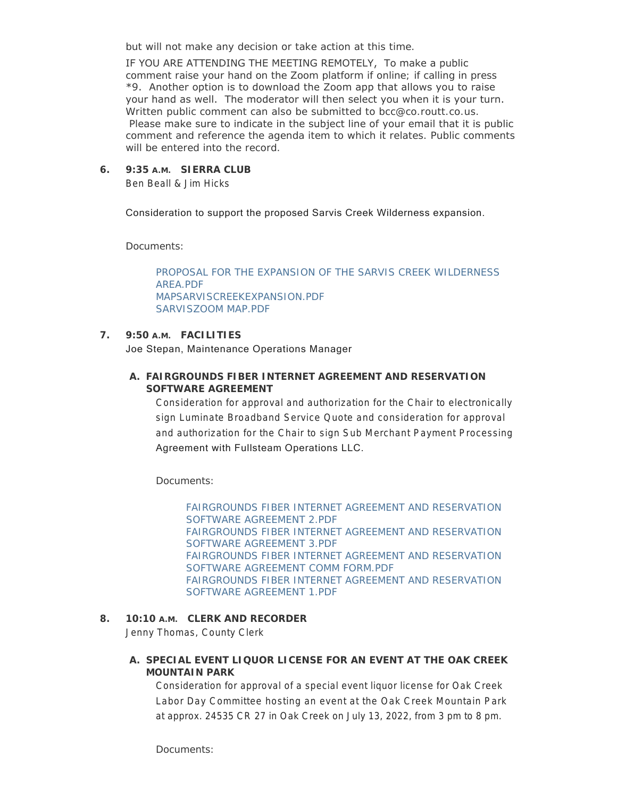but will not make any decision or take action at this time.

IF YOU ARE ATTENDING THE MEETING REMOTELY, To make a public comment raise your hand on the Zoom platform if online; if calling in press \*9. Another option is to download the Zoom app that allows you to raise your hand as well. The moderator will then select you when it is your turn. Written public comment can also be submitted to bcc@co.routt.co.us. Please make sure to indicate in the subject line of your email that it is public comment and reference the agenda item to which it relates. Public comments will be entered into the record.

## **SIERRA CLUB 6. 9:35 A.M.**

Ben Beall & Jim Hicks

Consideration to support the proposed Sarvis Creek Wilderness expansion.

Documents:

[PROPOSAL FOR THE EXPANSION OF THE SARVIS CREEK WILDERNESS](http://www.co.routt.co.us/AgendaCenter/ViewFile/Item/18754?fileID=16779)  AREA.PDF [MAPSARVISCREEKEXPANSION.PDF](http://www.co.routt.co.us/AgendaCenter/ViewFile/Item/18754?fileID=16780) [SARVISZOOM MAP.PDF](http://www.co.routt.co.us/AgendaCenter/ViewFile/Item/18754?fileID=16781)

## **FACILITIES 7. 9:50 A.M.**

Joe Stepan, Maintenance Operations Manager

**FAIRGROUNDS FIBER INTERNET AGREEMENT AND RESERVATION A. SOFTWARE AGREEMENT**

Consideration for approval and authorization for the Chair to electronically sign Luminate Broadband Service Quote and consideration for approval and authorization for the Chair to sign Sub Merchant Payment Processing Agreement with Fullsteam Operations LLC.

Documents:

[FAIRGROUNDS FIBER INTERNET AGREEMENT AND RESERVATION](http://www.co.routt.co.us/AgendaCenter/ViewFile/Item/18758?fileID=16801)  SOFTWARE AGREEMENT 2.PDF [FAIRGROUNDS FIBER INTERNET AGREEMENT AND RESERVATION](http://www.co.routt.co.us/AgendaCenter/ViewFile/Item/18758?fileID=16802)  SOFTWARE AGREEMENT 3.PDF [FAIRGROUNDS FIBER INTERNET AGREEMENT AND RESERVATION](http://www.co.routt.co.us/AgendaCenter/ViewFile/Item/18758?fileID=16803)  SOFTWARE AGREEMENT COMM FORM.PDF [FAIRGROUNDS FIBER INTERNET AGREEMENT AND RESERVATION](http://www.co.routt.co.us/AgendaCenter/ViewFile/Item/18758?fileID=16804)  SOFTWARE AGREEMENT 1.PDF

## **CLERK AND RECORDER 8. 10:10 A.M.**

Jenny Thomas, County Clerk

## **SPECIAL EVENT LIQUOR LICENSE FOR AN EVENT AT THE OAK CREEK A. MOUNTAIN PARK**

Consideration for approval of a special event liquor license for Oak Creek Labor Day Committee hosting an event at the Oak Creek Mountain Park at approx. 24535 CR 27 in Oak Creek on July 13, 2022, from 3 pm to 8 pm.

Documents: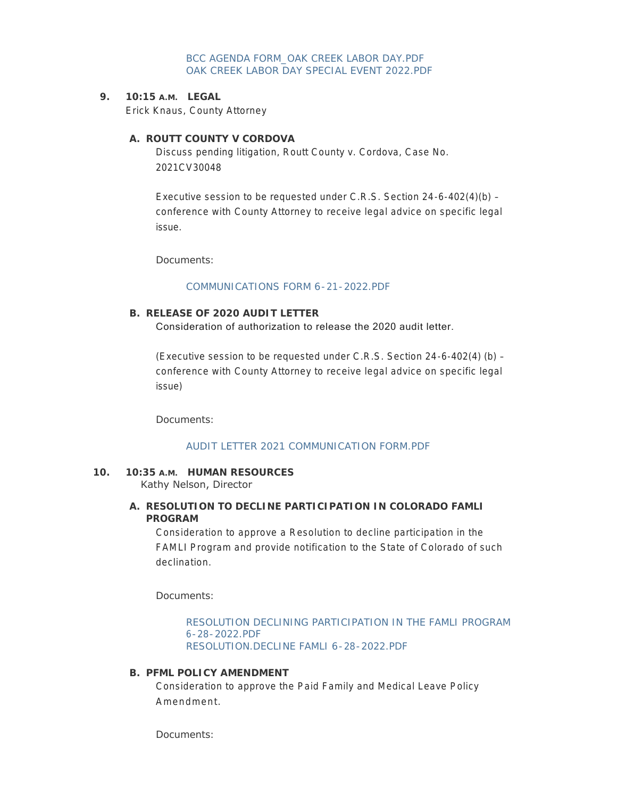[BCC AGENDA FORM\\_OAK CREEK LABOR DAY.PDF](http://www.co.routt.co.us/AgendaCenter/ViewFile/Item/18735?fileID=16773) [OAK CREEK LABOR DAY SPECIAL EVENT 2022.PDF](http://www.co.routt.co.us/AgendaCenter/ViewFile/Item/18735?fileID=16774)

**LEGAL 9. 10:15 A.M.**

Erick Knaus, County Attorney

## A. ROUTT COUNTY V CORDOVA

Discuss pending litigation, Routt County v. Cordova, Case No. 2021CV30048

Executive session to be requested under C.R.S. Section 24-6-402(4)(b) – conference with County Attorney to receive legal advice on specific legal issue.

Documents:

#### [COMMUNICATIONS FORM 6-21-2022.PDF](http://www.co.routt.co.us/AgendaCenter/ViewFile/Item/18757?fileID=16799)

## **RELEASE OF 2020 AUDIT LETTER B.**

Consideration of authorization to release the 2020 audit letter.

(Executive session to be requested under C.R.S. Section 24-6-402(4) (b) – conference with County Attorney to receive legal advice on specific legal issue)

Documents:

## [AUDIT LETTER 2021 COMMUNICATION FORM.PDF](http://www.co.routt.co.us/AgendaCenter/ViewFile/Item/18743?fileID=16777)

### **HUMAN RESOURCES 10. 10:35 A.M.** Kathy Nelson, Director

## **RESOLUTION TO DECLINE PARTICIPATION IN COLORADO FAMLI A. PROGRAM**

Consideration to approve a Resolution to decline participation in the FAMLI Program and provide notification to the State of Colorado of such declination.

Documents:

## [RESOLUTION DECLINING PARTICIPATION IN THE FAMLI PROGRAM](http://www.co.routt.co.us/AgendaCenter/ViewFile/Item/18745?fileID=16821)  6-28-2022.PDF [RESOLUTION.DECLINE FAMLI 6-28-2022.PDF](http://www.co.routt.co.us/AgendaCenter/ViewFile/Item/18745?fileID=16822)

#### **PFML POLICY AMENDMENT B.**

Consideration to approve the Paid Family and Medical Leave Policy Amendment.

Documents: